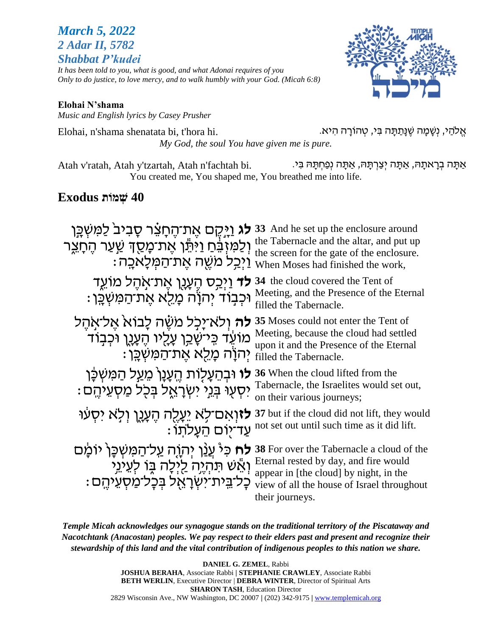### *March 5, 2022 2 Adar II, 5782 Shabbat P'kudei*

*It has been told to you, what is good, and what Adonai requires of you Only to do justice, to love mercy, and to walk humbly with your God. (Micah 6:8)*



#### **Elohai N'shama** *Music and English lyrics by Casey Prusher*

אֱלֹהַי, נִשָּׁמָה שֵׁנָּתַתָּה בִּי, טְהוֹרָה הִיא. . Elohai, n'shama shenatata bi, t'hora hi *My God, the soul You have given me is pure.*

אַתָּה בְרָאתָהּ, אַתָּה יְצַרְתֶּהּ, אֲתֶּה נְפַחְתָּהּ בִּי. . . . Atah v'ratah, Atah y'tzartah, Atah n'fachtah bi You created me, You shaped me, You breathed me into life.

## **40 שְׁ מֹות Exodus**

| <b>לג וַיֶּקֵם אֵת־הֵחָצֵר סָבִיב<sup>ּי</sup> לַמִּשְׁבֵּן</b><br>וְלַמִּזְבֵּחַ וַיִּתֵּ֫ו אֶת־מָּסֵךְ שַׁעַר הֶחָצֵר<br><u>וַיְכְ</u> ל מִשֱה אֱת־הַמְּלַא <u>כְ</u> ה: | 33 And he set up the enclosure around<br>the Tabernacle and the altar, and put up<br>the screen for the gate of the enclosure.<br>When Moses had finished the work,                           |
|----------------------------------------------------------------------------------------------------------------------------------------------------------------------------|-----------------------------------------------------------------------------------------------------------------------------------------------------------------------------------------------|
| <b>לד</b> וַיְכַָּס הֶעֲנֶן אֶת־אָהֶל מוֹעֵד<br>ּוּכְבְוֹד יְהֹוָה מָלֵא אֶת־הַמִּשְׁבֵּן :                                                                                | 34 the cloud covered the Tent of<br>Meeting, and the Presence of the Eternal<br>filled the Tabernacle.                                                                                        |
| <b>לה</b> ולא־יַכִל משֶׁה לַבוֹא אֵל־אִהֵל<br>מוֹעֵד כִּי־שָׁבַן עָלֵיו הֵעָנֶן וּכִבְוֹד<br>ּיִהוַׂה מַלֵא אֵת־הַמִּשְׁבֵּן                                               | 35 Moses could not enter the Tent of<br>Meeting, because the cloud had settled<br>upon it and the Presence of the Eternal<br>filled the Tabernacle.                                           |
| <b>לו</b> וּבְהֵעָלְוֹת הֵעֲנָן מֵעַל הַמִּשְׁכָּן<br>יִסְעְוּ בְּנֵי יִשְׂרָאֱל בְּכְל מַּסְעֵיהֵם :                                                                      | 36 When the cloud lifted from the<br>Tabernacle, the Israelites would set out,<br>on their various journeys;                                                                                  |
| לזואם־לא יַעֲלֵה הֵעֲנֵן וְלֹא יִסְעוּ<br>ּעֲד־יִוֹּם הֵעֲלֹתוֹ                                                                                                            | 37 but if the cloud did not lift, they would<br>not set out until such time as it did lift.                                                                                                   |
| <b>לח</b> כִּיْ עֲנַׁן יִהְוֶה עֲל־הַמְּשִׁכָּן יוֹמַ֫ם<br>וְאֵשׁ תִּהְיֶה לַיִּלָה בָּוֹ לְעֵינֵי<br>כַל־בֵית־יִשְׂרָאֵל בִּכַל־מִסָעֲיהֵם :                              | 38 For over the Tabernacle a cloud of the<br>Eternal rested by day, and fire would<br>appear in [the cloud] by night, in the<br>view of all the house of Israel throughout<br>their journeys. |

*Temple Micah acknowledges our synagogue stands on the traditional territory of the Piscataway and Nacotchtank (Anacostan) peoples. We pay respect to their elders past and present and recognize their stewardship of this land and the vital contribution of indigenous peoples to this nation we share.*

> **DANIEL G. ZEMEL**, Rabbi **JOSHUA BERAHA**, Associate Rabbi **| STEPHANIE CRAWLEY**, Associate Rabbi **BETH WERLIN**, Executive Director | **DEBRA WINTER**, Director of Spiritual Arts **SHARON TASH**, Education Director 2829 Wisconsin Ave., NW Washington, DC 20007 **|** (202) 342-9175 **|** [www.templemicah.org](http://www.templemicah.org/)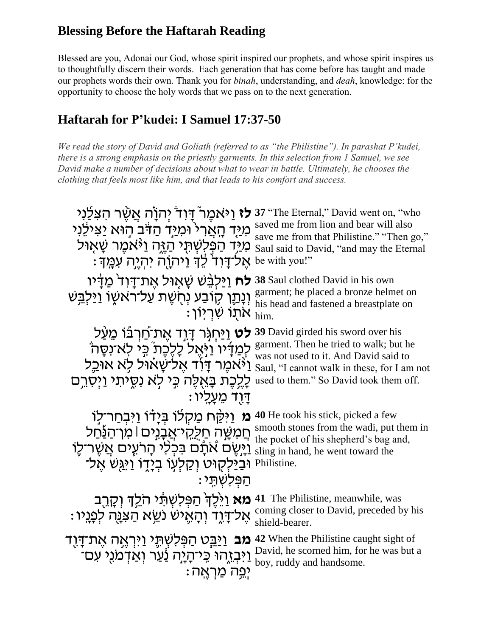## **Blessing Before the Haftarah Reading**

Blessed are you, Adonai our God, whose spirit inspired our prophets, and whose spirit inspires us to thoughtfully discern their words. Each generation that has come before has taught and made our prophets words their own. Thank you for *binah*, understanding, and *deah*, knowledge: for the opportunity to choose the holy words that we pass on to the next generation.

## **Haftarah for P'kudei: I Samuel 17:37-50**

*We read the story of David and Goliath (referred to as "the Philistine"). In parashat P'kudei, there is a strong emphasis on the priestly garments. In this selection from 1 Samuel, we see David make a number of decisions about what to wear in battle. Ultimately, he chooses the clothing that feels most like him, and that leads to his comfort and success.*

| <b>לז</b> וַיֹּאמֵר ْדָודׂ יִהוָׂה אֲשֶׁר הִצְלֵנִי<br>מְיַּד הָאֲרִי וֹמְיֵּד הַדֹּב הִוּא יַצִּילֶנִי<br>מְיַּד הַפְּלִשְׁתָּי הַזֶּה וַיֹּאמֶר שָׁאָוּל<br>ּאֵל־דָּוִדֹּ לֵךְ וַיֹּהְוָה יִהְיֵה עְמֵךָ:                                            | 37 "The Eternal," David went on, "who<br>saved me from lion and bear will also<br>save me from that Philistine." "Then go,"<br>Saul said to David, "and may the Eternal<br>be with you!" |
|--------------------------------------------------------------------------------------------------------------------------------------------------------------------------------------------------------------------------------------------------------|------------------------------------------------------------------------------------------------------------------------------------------------------------------------------------------|
| <b>לח</b> וַיַּלְבֵּשׁ שַׁאָוּל אֱת־דַּוְד <sup>ִּ</sup> מֲדַיו<br>וְנָתֵן קִוֹבַע נְחָשֶׁת עַל־ראשָׂו וַיַּלְבֵּשׁ<br>: אתו שריוו                                                                                                                     | 38 Saul clothed David in his own<br>garment; he placed a bronze helmet on<br>his head and fastened a breastplate on                                                                      |
| 39 David girded his sword over his לט וַיַּחְגָּר דַוֹד אֲת־חַרְבֿוֹ מֵעַל<br>לִמְדִיו וַיְּאֵל לַלֵבֶת בֵּי לְא־נְסֵה<br>וַיֹּאמֶר דָּוִד אֵל־שַׁאוּל לִא אוּ <u>כ</u> ל<br>לַלֵּכֶת בַּאֲלֵה כֵּי לְא נִסֳיתִי וַיִּסְרֵם<br><u>דִּוֹד מֵעֲלִיו:</u> | garment. Then he tried to walk; but he<br>was not used to it. And David said to<br>Saul, "I cannot walk in these, for I am not<br>used to them." So David took them off.                 |
| <b>מ</b> וַיּקֵּח מַקְלוֹ בִּיָדוֹ וַיּבִחַר־לִוֹ<br>חֵמִשֶּׁה חַלַּקֵי־אֲבָנֵים   מִן־הַ <u>נַּ</u> ֹחַל<br>וַיֵּשֵׂם אֹתַֿם בִּכְלִי הָרעִים אֲשֶר־לֵו<br>וּבַיַּלִקוּט וְקַלְעָוֹ בְיָדָוֹ וַי <u>ּג</u> ְשׁ אֵל־<br>ּהַפְּלִשְׁתֵּי                | 40 He took his stick, picked a few<br>smooth stones from the wadi, put them in<br>the pocket of his shepherd's bag and,<br>sling in hand, he went toward the<br>Philistine.              |
| <b>מא</b> וַיֵּלֵךְ הַפְּלִשְׁתֵּי הֹלֵךְ וְקָרֵב<br>ּאֵל־דָּוֶד וְהָאֱיֹשׁ נֹשֵׂא הַצִּנָּה לִפְנֵיו                                                                                                                                                  | The Philistine, meanwhile, was<br>41<br>coming closer to David, preceded by his<br>shield-bearer.                                                                                        |
| <b>מב</b> וַיַּבֵּט הַפְּלִשְׁתֶּי וַיִּרְאֶה אֶת־דָּוֶד<br><u>וַיִּבְזֶ</u> הוּ כֵּי־הָיָה <u>נַעַר וְא</u> ַדְמֹנֵי עִם־<br><u>יפֵה מַרְאֵה:</u>                                                                                                     | 42 When the Philistine caught sight of<br>David, he scorned him, for he was but a<br>boy, ruddy and handsome.                                                                            |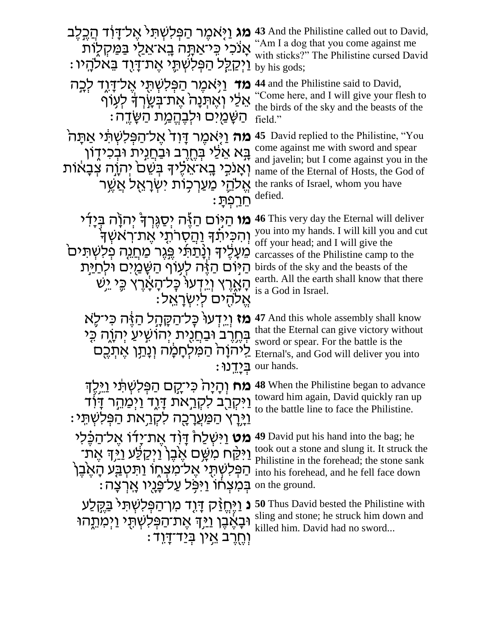| <b>מג</b> וַיָּאמֵר הַפְּלִשְׁתִּי אֵל־דָוֹד הַבֵּלֵב<br>אַנֹכִי כֵּיאַתָּה בֵא־אֵלֵי בַּמַּקְלָוֹת<br>ַוַיִּקַלֵּל הַפְּלִשְׁתֶּי אֵת־דָוָד בֵּאלהָיו                                                                                                                                    | 43 And the Philistine called out to David,<br>"Am I a dog that you come against me<br>with sticks?" The Philistine cursed David<br>by his gods;                                                                                                                                                |
|-------------------------------------------------------------------------------------------------------------------------------------------------------------------------------------------------------------------------------------------------------------------------------------------|------------------------------------------------------------------------------------------------------------------------------------------------------------------------------------------------------------------------------------------------------------------------------------------------|
| <b>מד</b> וַיִּאמֵר הַפִּלִשְׁתִּי אֱל־דָּוֶד לְבָה<br>אֵלֵי וְאֵתְנָה אֵת־בְּשֵׂרְדָּ לְעִוֹף<br>ּהַשָּׁמַיִּם וּלְבֶהֱמַת הַשָּׂדֵה:                                                                                                                                                    | 44 and the Philistine said to David,<br>"Come here, and I will give your flesh to<br>the birds of the sky and the beasts of the<br>field."                                                                                                                                                     |
| <b>מה</b> וַיָּאמֶר דָּוִד <sup>י</sup> אֶל־הַפְּלִשְׁתֵּי אַתַּה <sup>י</sup><br>בָּא אֵלֵי בְּחֶרֶב וּבַחֲנִית וּבְכִידֶון<br>וְאַנכֵי בָא־אֵלֵיךָ בִּשֶׁם יִהְוֶה צִבָאוֹת<br>אֱלהֵי מַעַרְכְוֹת ישְׂרַאֵל אַשֵּׁר<br><u>הַרְפָתַ:</u>                                                 | <b>45</b> David replied to the Philistine, "You<br>come against me with sword and spear<br>and javelin; but I come against you in the<br>name of the Eternal of Hosts, the God of<br>the ranks of Israel, whom you have<br>defied.                                                             |
| <b>מו</b> הַיּּוֹם הַזֶּה יִסַגְּרִךְ יִהְוָה בְּיָדִי<br>וְהִכִּיתֹךְ וַהֲסְרֹתֵי אֱת־רְאשְׁךָ<br>מֵעָלֶיךָ וְנָתַתִּי <u>פְּגֵר מַחֲנָ</u> ה פִלְשָׁתִּים<br>הַיִּוֹם הַזֶּה לְעָוֹף הַשָּׁמַיִם וּלִח <u>ַי</u> ּת<br>הַאָרֵץ וְיֵדְעוֹ כָּל־הָאַרֵץ כֵּי יֵשׁ<br>אֵלהִים לִישְׂרָאֵל: | <b>46</b> This very day the Eternal will deliver<br>you into my hands. I will kill you and cut<br>off your head; and I will give the<br>carcasses of the Philistine camp to the<br>birds of the sky and the beasts of the<br>earth. All the earth shall know that there<br>is a God in Israel. |
| <b>מז</b> וֵיִדְעוּ כָּל־הַקָּהָל הַזֶּה כִּי־לֵא<br>בְּחֱרֶב וּבַחֲנֻית יְהוֹשִיעַ יְהְוֶה כְּי<br><u>לַיהוַה הַמַּלְחָמַה וְנַתֵּן אֱתְכֵם</u>                                                                                                                                          | 47 And this whole assembly shall know<br>that the Eternal can give victory without<br>sword or spear. For the battle is the<br>Eternal's, and God will deliver you into<br>our hands.                                                                                                          |
| <b>מח</b> וְהָיָה <sup>י</sup> כִּי־קֵם הַפְּלִשְׁתֵּ֫י וַיֵּלֶךְ<br><u>וַיִּקְרָ</u> ב לִקְרֵאת דָּוֶד וַיְּמַהֵר דָּוֹד<br><u>וי</u> ָּרַץ הַמַּעֲרָכָה לִקְרֵאת הַפְּלִשְׁתֵּי:                                                                                                        | 48 When the Philistine began to advance<br>toward him again, David quickly ran up<br>to the battle line to face the Philistine.                                                                                                                                                                |
| <b>מט</b> וַיִּשְׁלַחْ דָּוָד אֵת־יַדו אֵל־הַבֶּלִי<br>וַיִּקַּח מִשֶּׁם אֵבֶן וַיִּקַלַּע <u>ו</u> ֹיִּךְ אֵת־<br>הַפְּלִשְׁתָּי אֵל־מִצְחֶוֹ וַתִּטְבַּע הָאֵ <sup>ׂ</sup> בֵן<br>: בְּמִצְחוֹ וַיּפְּל עַל־פַּנַיו אֲרְצַה on the ground.                                              | 49 David put his hand into the bag; he<br>took out a stone and slung it. It struck the<br>Philistine in the forehead; the stone sank<br>into his forehead, and he fell face down                                                                                                               |
| <b>ּנ</b> וַיֵּחֱזַק דָּוָד מן־הַפְּלִשְׁתִּי <u>בְּ</u> קֵלַע<br>וּבָאֵבֵן <u>וַי</u> ּֽךְ אֵת־הַפְּלִשְׁתְּי וַיִּמְתֵֽהוּ<br>ּוְחֶרֶב אֵין בְּיַד <sup>ְ-</sup> דָוד                                                                                                                   | <b>50</b> Thus David bested the Philistine with<br>sling and stone; he struck him down and<br>killed him. David had no sword                                                                                                                                                                   |